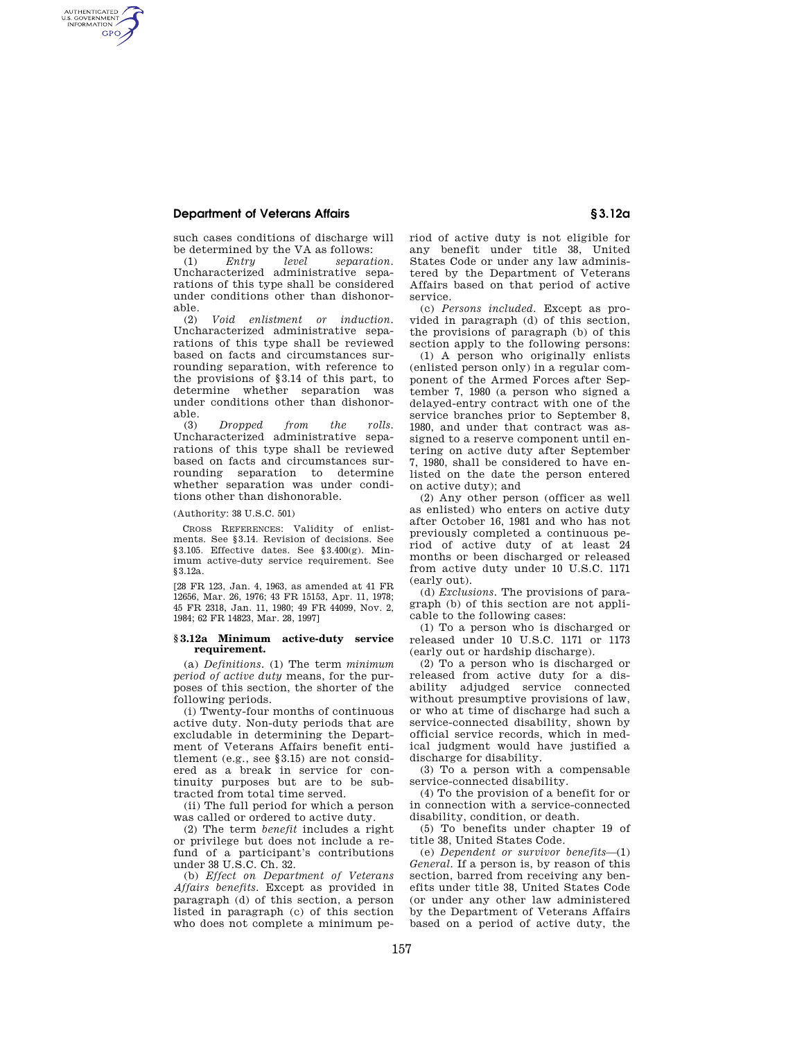## **Department of Veterans Affairs § 3.12a**

AUTHENTICATED<br>U.S. GOVERNMENT<br>INFORMATION **GPO** 

> such cases conditions of discharge will be determined by the VA as follows:<br>(1)  $Entru$  level separat

(1) *Entry level separation.*  Uncharacterized administrative separations of this type shall be considered under conditions other than dishonorable.<br> $(2)$ 

(2) *Void enlistment or induction.*  Uncharacterized administrative separations of this type shall be reviewed based on facts and circumstances surrounding separation, with reference to the provisions of §3.14 of this part, to determine whether separation was under conditions other than dishonorable.

(3) *Dropped from the rolls.*  Uncharacterized administrative separations of this type shall be reviewed based on facts and circumstances surrounding separation to determine whether separation was under conditions other than dishonorable.

(Authority: 38 U.S.C. 501)

CROSS REFERENCES: Validity of enlistments. See §3.14. Revision of decisions. See §3.105. Effective dates. See §3.400(g). Minimum active-duty service requirement. See §3.12a.

[28 FR 123, Jan. 4, 1963, as amended at 41 FR 12656, Mar. 26, 1976; 43 FR 15153, Apr. 11, 1978; 45 FR 2318, Jan. 11, 1980; 49 FR 44099, Nov. 2, 1984; 62 FR 14823, Mar. 28, 1997]

## **§ 3.12a Minimum active-duty service requirement.**

(a) *Definitions.* (1) The term *minimum period of active duty* means, for the purposes of this section, the shorter of the following periods.

(i) Twenty-four months of continuous active duty. Non-duty periods that are excludable in determining the Department of Veterans Affairs benefit entitlement (e.g., see §3.15) are not considered as a break in service for continuity purposes but are to be subtracted from total time served.

(ii) The full period for which a person was called or ordered to active duty.

(2) The term *benefit* includes a right or privilege but does not include a refund of a participant's contributions under 38 U.S.C. Ch. 32.

(b) *Effect on Department of Veterans Affairs benefits.* Except as provided in paragraph (d) of this section, a person listed in paragraph (c) of this section who does not complete a minimum period of active duty is not eligible for any benefit under title 38, United States Code or under any law administered by the Department of Veterans Affairs based on that period of active service.

(c) *Persons included.* Except as provided in paragraph (d) of this section, the provisions of paragraph (b) of this section apply to the following persons:

(1) A person who originally enlists (enlisted person only) in a regular component of the Armed Forces after September 7, 1980 (a person who signed a delayed-entry contract with one of the service branches prior to September 8, 1980, and under that contract was assigned to a reserve component until entering on active duty after September 7, 1980, shall be considered to have enlisted on the date the person entered on active duty); and

(2) Any other person (officer as well as enlisted) who enters on active duty after October 16, 1981 and who has not previously completed a continuous period of active duty of at least 24 months or been discharged or released from active duty under 10 U.S.C. 1171 (early out).

(d) *Exclusions.* The provisions of paragraph (b) of this section are not applicable to the following cases:

(1) To a person who is discharged or released under 10 U.S.C. 1171 or 1173 (early out or hardship discharge).

(2) To a person who is discharged or released from active duty for a disability adjudged service connected without presumptive provisions of law, or who at time of discharge had such a service-connected disability, shown by official service records, which in medical judgment would have justified a discharge for disability.

(3) To a person with a compensable service-connected disability.

(4) To the provision of a benefit for or in connection with a service-connected disability, condition, or death.

(5) To benefits under chapter 19 of title 38, United States Code.

(e) *Dependent or survivor benefits*—(1) *General.* If a person is, by reason of this section, barred from receiving any benefits under title 38, United States Code (or under any other law administered by the Department of Veterans Affairs based on a period of active duty, the